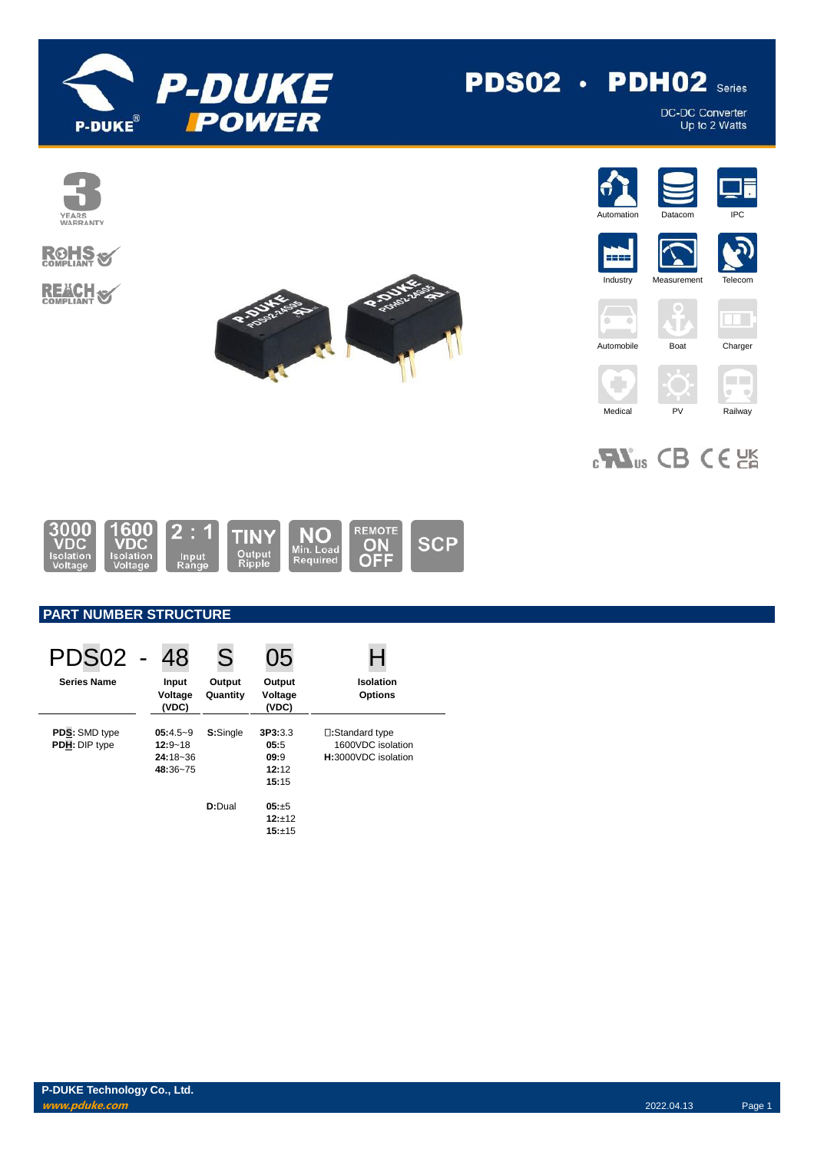

# PDS02 · PDH02 Series

DC-DC Converter<br>Up to 2 Watts





**REACH S** 



















 $_{c}$ Vas CB CE



# **PART NUMBER STRUCTURE**

| PDS <sub>02</sub>              | 48                                                | S                  | 05                                        |                                                             |
|--------------------------------|---------------------------------------------------|--------------------|-------------------------------------------|-------------------------------------------------------------|
| <b>Series Name</b>             | Input<br>Voltage<br>(VDC)                         | Output<br>Quantity | Output<br>Voltage<br>(VDC)                | <b>Isolation</b><br><b>Options</b>                          |
| PDS: SMD type<br>PDH: DIP type | $05:4.5-9$<br>$12:9 - 18$<br>24:18~36<br>48:36~75 | S:Single           | 3P3:3.3<br>05:5<br>09:9<br>12:12<br>15:15 | □:Standard type<br>1600VDC isolation<br>H:3000VDC isolation |
|                                |                                                   | D:Dual             | $05: +5$<br>$12:+12$<br>15:±15            |                                                             |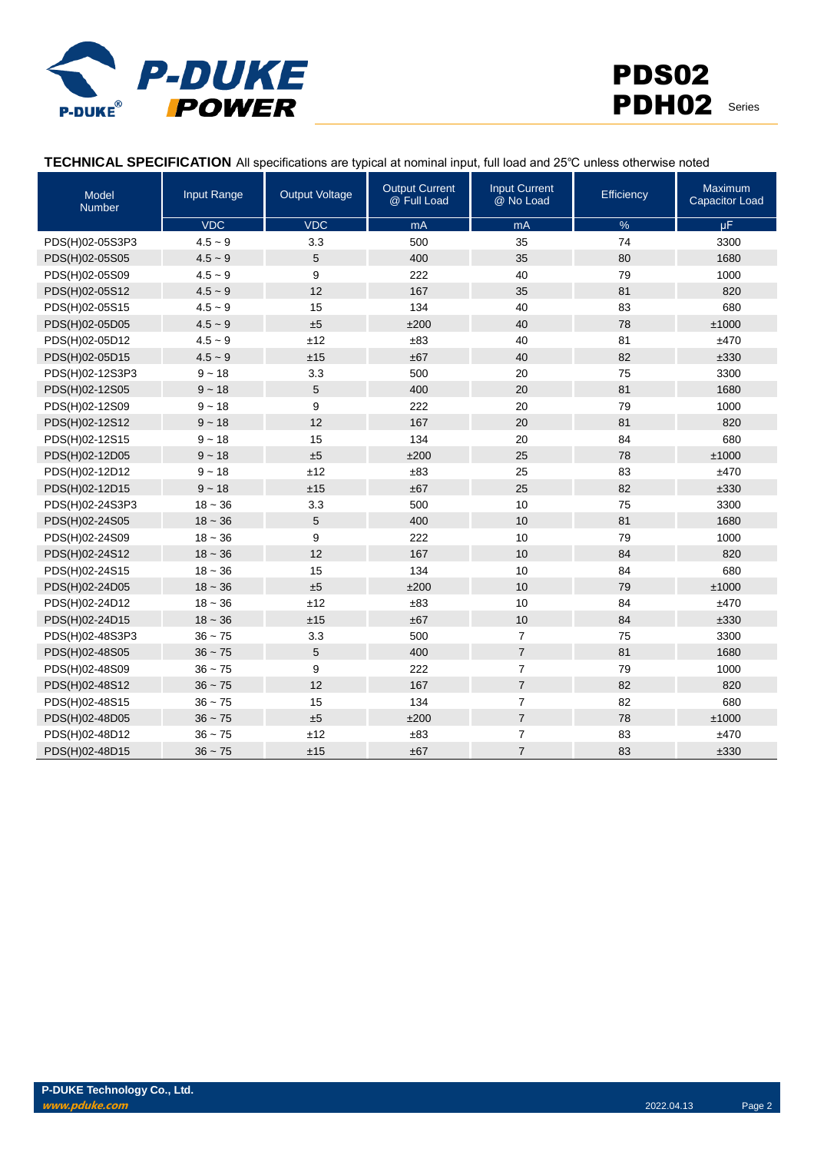

## **TECHNICAL SPECIFICATION** All specifications are typical at nominal input, full load and 25℃ unless otherwise noted

| <b>Model</b><br><b>Number</b> | Input Range | <b>Output Voltage</b> | <b>Output Current</b><br>@ Full Load | <b>Input Current</b><br>@ No Load | Efficiency    | Maximum<br><b>Capacitor Load</b> |
|-------------------------------|-------------|-----------------------|--------------------------------------|-----------------------------------|---------------|----------------------------------|
|                               | <b>VDC</b>  | VDC                   | mA                                   | mA                                | $\frac{0}{6}$ | $\mu$ F                          |
| PDS(H)02-05S3P3               | $4.5 - 9$   | 3.3                   | 500                                  | 35                                | 74            | 3300                             |
| PDS(H)02-05S05                | $4.5 - 9$   | 5                     | 400                                  | 35                                | 80            | 1680                             |
| PDS(H)02-05S09                | $4.5 - 9$   | 9                     | 222                                  | 40                                | 79            | 1000                             |
| PDS(H)02-05S12                | $4.5 - 9$   | 12                    | 167                                  | 35                                | 81            | 820                              |
| PDS(H)02-05S15                | $4.5 - 9$   | 15                    | 134                                  | 40                                | 83            | 680                              |
| PDS(H)02-05D05                | $4.5 - 9$   | ±5                    | ±200                                 | 40                                | 78            | ±1000                            |
| PDS(H)02-05D12                | $4.5 - 9$   | ±12                   | ±83                                  | 40                                | 81            | ±470                             |
| PDS(H)02-05D15                | $4.5 - 9$   | ±15                   | ±67                                  | 40                                | 82            | ±330                             |
| PDS(H)02-12S3P3               | $9 - 18$    | 3.3                   | 500                                  | 20                                | 75            | 3300                             |
| PDS(H)02-12S05                | $9 - 18$    | 5                     | 400                                  | 20                                | 81            | 1680                             |
| PDS(H)02-12S09                | $9 - 18$    | 9                     | 222                                  | 20                                | 79            | 1000                             |
| PDS(H)02-12S12                | $9 - 18$    | 12                    | 167                                  | 20                                | 81            | 820                              |
| PDS(H)02-12S15                | $9 - 18$    | 15                    | 134                                  | 20                                | 84            | 680                              |
| PDS(H)02-12D05                | $9 - 18$    | ±5                    | ±200                                 | 25                                | 78            | ±1000                            |
| PDS(H)02-12D12                | $9 - 18$    | ±12                   | ±83                                  | 25                                | 83            | ±470                             |
| PDS(H)02-12D15                | $9 - 18$    | ±15                   | ±67                                  | 25                                | 82            | ±330                             |
| PDS(H)02-24S3P3               | $18 - 36$   | 3.3                   | 500                                  | 10                                | 75            | 3300                             |
| PDS(H)02-24S05                | $18 - 36$   | 5                     | 400                                  | 10                                | 81            | 1680                             |
| PDS(H)02-24S09                | $18 - 36$   | 9                     | 222                                  | 10                                | 79            | 1000                             |
| PDS(H)02-24S12                | $18 - 36$   | 12                    | 167                                  | 10                                | 84            | 820                              |
| PDS(H)02-24S15                | $18 - 36$   | 15                    | 134                                  | 10                                | 84            | 680                              |
| PDS(H)02-24D05                | $18 - 36$   | ±5                    | ±200                                 | 10                                | 79            | ±1000                            |
| PDS(H)02-24D12                | $18 - 36$   | ±12                   | ±83                                  | 10                                | 84            | ±470                             |
| PDS(H)02-24D15                | $18 - 36$   | ±15                   | ±67                                  | 10                                | 84            | ±330                             |
| PDS(H)02-48S3P3               | $36 - 75$   | 3.3                   | 500                                  | $\overline{7}$                    | 75            | 3300                             |
| PDS(H)02-48S05                | $36 - 75$   | 5                     | 400                                  | $\overline{7}$                    | 81            | 1680                             |
| PDS(H)02-48S09                | $36 - 75$   | 9                     | 222                                  | $\overline{7}$                    | 79            | 1000                             |
| PDS(H)02-48S12                | $36 - 75$   | 12                    | 167                                  | $\overline{7}$                    | 82            | 820                              |
| PDS(H)02-48S15                | $36 - 75$   | 15                    | 134                                  | $\overline{7}$                    | 82            | 680                              |
| PDS(H)02-48D05                | $36 - 75$   | ±5                    | ±200                                 | $\overline{7}$                    | 78            | ±1000                            |
| PDS(H)02-48D12                | $36 - 75$   | ±12                   | ±83                                  | $\overline{7}$                    | 83            | ±470                             |
| PDS(H)02-48D15                | $36 - 75$   | ±15                   | ±67                                  | $\overline{7}$                    | 83            | ±330                             |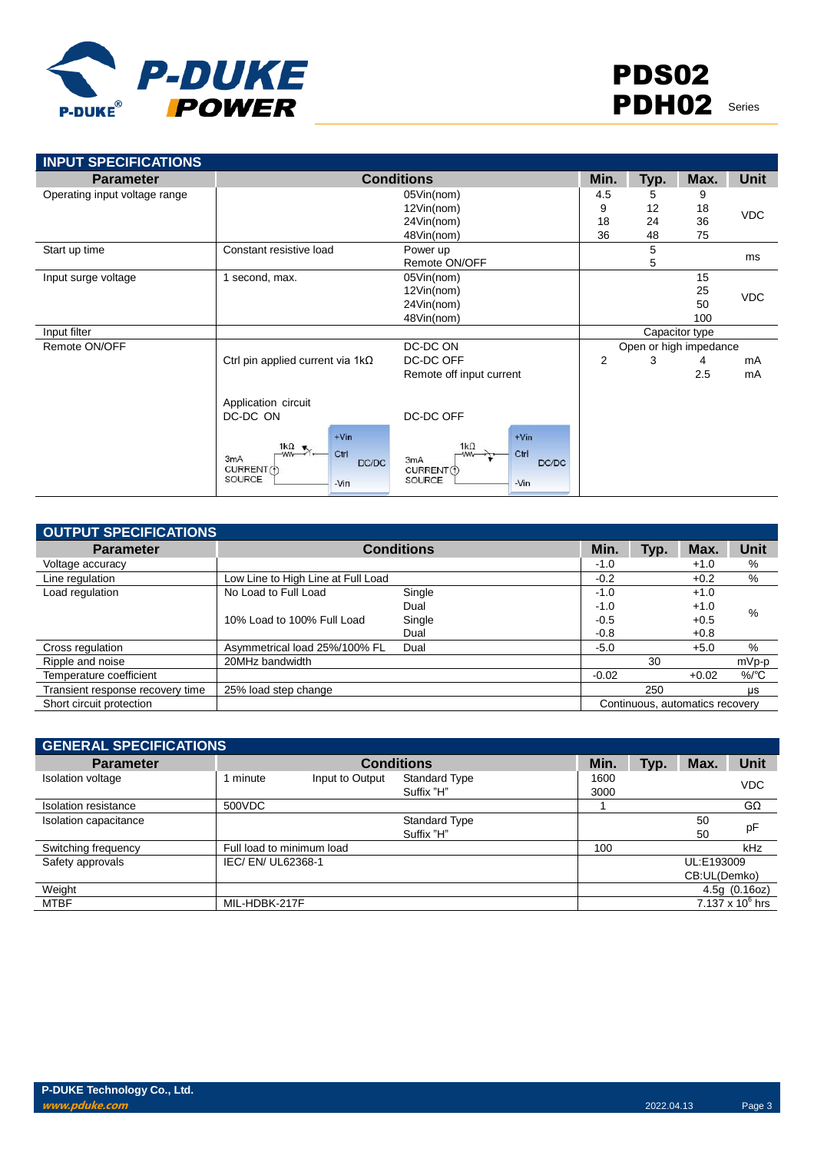

| <b>INPUT SPECIFICATIONS</b>   |                                         |                                  |                |      |                        |             |
|-------------------------------|-----------------------------------------|----------------------------------|----------------|------|------------------------|-------------|
| <b>Parameter</b>              |                                         | <b>Conditions</b>                | Min.           | Typ. | Max.                   | <b>Unit</b> |
| Operating input voltage range |                                         | 05Vin(nom)                       | 4.5            | 5    | 9                      |             |
|                               |                                         | 12Vin(nom)                       | 9              | 12   | 18                     | <b>VDC</b>  |
|                               |                                         | 24Vin(nom)                       | 18             | 24   | 36                     |             |
|                               |                                         | 48Vin(nom)                       | 36             | 48   | 75                     |             |
| Start up time                 | Constant resistive load                 | Power up                         |                | 5    |                        | ms          |
|                               |                                         | Remote ON/OFF                    |                | 5    |                        |             |
| Input surge voltage           | 1 second, max.                          | 05Vin(nom)                       |                |      | 15                     |             |
|                               |                                         | 12Vin(nom)                       |                |      | 25                     | <b>VDC</b>  |
|                               |                                         | 24Vin(nom)                       |                |      | 50                     |             |
|                               |                                         | 48Vin(nom)                       |                |      | 100                    |             |
| Input filter                  |                                         |                                  |                |      | Capacitor type         |             |
| Remote ON/OFF                 |                                         | DC-DC ON                         |                |      | Open or high impedance |             |
|                               | Ctrl pin applied current via $1k\Omega$ | DC-DC OFF                        | $\overline{2}$ | 3    | 4                      | mA          |
|                               |                                         | Remote off input current         |                |      | 2.5                    | mA          |
|                               |                                         |                                  |                |      |                        |             |
|                               | Application circuit                     |                                  |                |      |                        |             |
|                               | DC-DC ON                                | DC-DC OFF                        |                |      |                        |             |
|                               | $+V$ in                                 | $+V$ in                          |                |      |                        |             |
|                               | $\frac{1k\Omega}{2}$ .<br>Ctrl<br>3mA   | $1k\Omega$<br>Ctrl<br>-ww<br>3mA |                |      |                        |             |
|                               | DC/DC<br>CURRENT (1)                    | DC/DC<br>CURRENT(1)              |                |      |                        |             |
|                               | SOURCE<br>-Vin                          | SOURCE<br>$-Vin$                 |                |      |                        |             |
|                               |                                         |                                  |                |      |                        |             |

| <b>OUTPUT SPECIFICATIONS</b>     |                                    |                   |         |      |                                 |                 |
|----------------------------------|------------------------------------|-------------------|---------|------|---------------------------------|-----------------|
| <b>Parameter</b>                 |                                    | <b>Conditions</b> | Min.    | Typ. | Max.                            | Unit            |
| Voltage accuracy                 |                                    |                   | $-1.0$  |      | $+1.0$                          | %               |
| Line regulation                  | Low Line to High Line at Full Load |                   | $-0.2$  |      | $+0.2$                          | %               |
| Load regulation                  | No Load to Full Load               | Single            | $-1.0$  |      | $+1.0$                          |                 |
|                                  |                                    | Dual              | $-1.0$  |      | $+1.0$                          | %               |
|                                  | 10% Load to 100% Full Load         | Single            | $-0.5$  |      | $+0.5$                          |                 |
|                                  |                                    | Dual              | $-0.8$  |      | $+0.8$                          |                 |
| Cross regulation                 | Asymmetrical load 25%/100% FL      | Dual              | $-5.0$  |      | $+5.0$                          | %               |
| Ripple and noise                 | 20MHz bandwidth                    |                   |         | 30   |                                 | mVp-p           |
| Temperature coefficient          |                                    |                   | $-0.02$ |      | $+0.02$                         | $%$ $\degree$ C |
| Transient response recovery time | 25% load step change               |                   |         | 250  |                                 | <b>US</b>       |
| Short circuit protection         |                                    |                   |         |      | Continuous, automatics recovery |                 |

| <b>GENERAL SPECIFICATIONS</b> |                           |                 |                                    |  |              |      |              |                    |
|-------------------------------|---------------------------|-----------------|------------------------------------|--|--------------|------|--------------|--------------------|
| <b>Parameter</b>              |                           |                 | <b>Conditions</b>                  |  | Min.         | Typ. | Max.         | <b>Unit</b>        |
| Isolation voltage             | I minute                  | Input to Output | <b>Standard Type</b><br>Suffix "H" |  | 1600<br>3000 |      |              | <b>VDC</b>         |
| Isolation resistance          | 500VDC                    |                 |                                    |  |              |      |              | $G\Omega$          |
| Isolation capacitance         |                           |                 | <b>Standard Type</b>               |  |              |      | 50           | pF                 |
|                               |                           |                 | Suffix "H"                         |  |              |      | 50           |                    |
| Switching frequency           | Full load to minimum load |                 |                                    |  | 100          |      |              | kHz                |
| Safety approvals              | IEC/EN/UL62368-1          |                 |                                    |  |              |      | UL:E193009   |                    |
|                               |                           |                 |                                    |  |              |      | CB:UL(Demko) |                    |
| Weight                        |                           |                 |                                    |  |              |      |              | 4.5g(0.16oz)       |
| MTBF                          | MIL-HDBK-217F             |                 |                                    |  |              |      |              | 7.137 x $10^6$ hrs |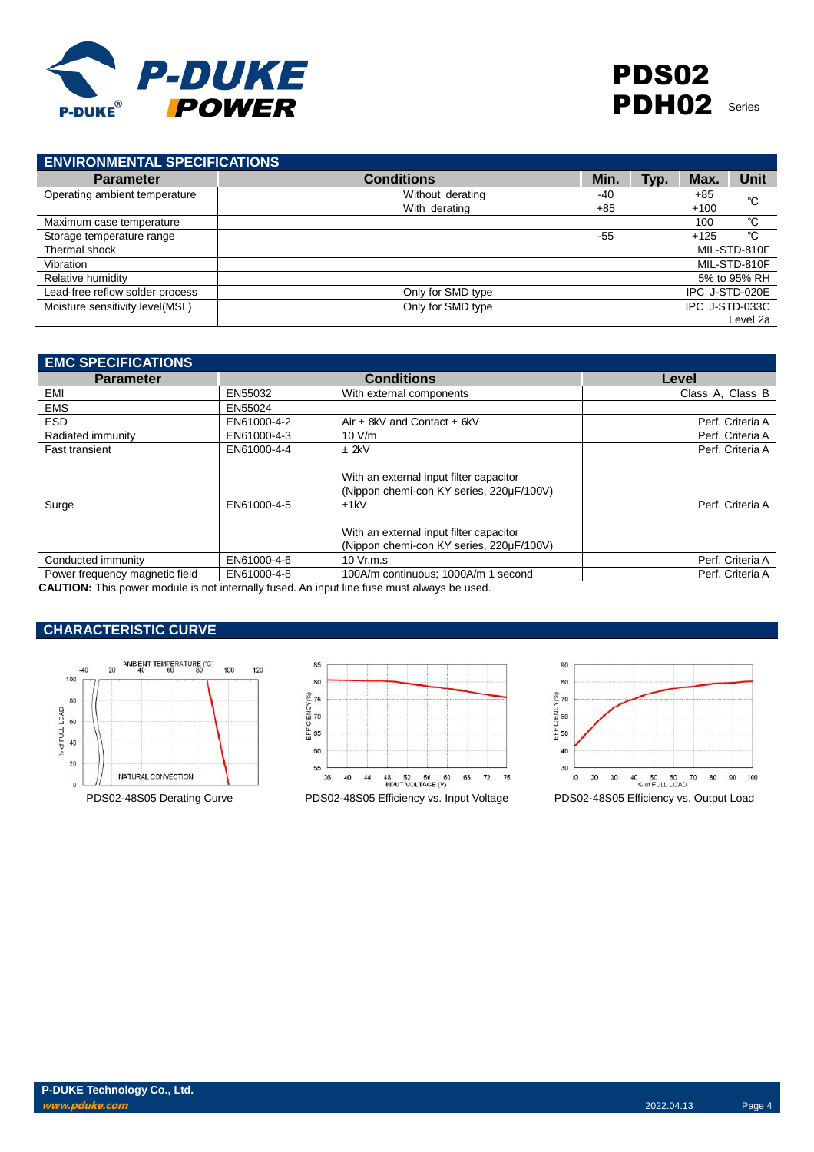

| <b>ENVIRONMENTAL SPECIFICATIONS</b> |                   |       |      |                |              |
|-------------------------------------|-------------------|-------|------|----------------|--------------|
| <b>Parameter</b>                    | <b>Conditions</b> | Min.  | Typ. | Max.           | <b>Unit</b>  |
| Operating ambient temperature       | Without derating  | -40   |      | $+85$          | °C           |
|                                     | With derating     | $+85$ |      | $+100$         |              |
| Maximum case temperature            |                   |       |      | 100            | °C           |
| Storage temperature range           |                   | -55   |      | $+125$         | °C           |
| Thermal shock                       |                   |       |      |                | MIL-STD-810F |
| Vibration                           |                   |       |      |                | MIL-STD-810F |
| Relative humidity                   |                   |       |      |                | 5% to 95% RH |
| Lead-free reflow solder process     | Only for SMD type |       |      | IPC J-STD-020E |              |
| Moisture sensitivity level(MSL)     | Only for SMD type |       |      | IPC J-STD-033C |              |
|                                     |                   |       |      |                | Level 2a     |

| <b>EMC SPECIFICATIONS</b>      |             |                                          |                  |
|--------------------------------|-------------|------------------------------------------|------------------|
| <b>Parameter</b>               |             | <b>Conditions</b>                        | Level            |
| EMI                            | EN55032     | With external components                 | Class A, Class B |
| <b>EMS</b>                     | EN55024     |                                          |                  |
| <b>ESD</b>                     | EN61000-4-2 | Air $\pm$ 8kV and Contact $\pm$ 6kV      | Perf. Criteria A |
| Radiated immunity              | EN61000-4-3 | 10 V/m                                   | Perf. Criteria A |
| <b>Fast transient</b>          | EN61000-4-4 | $±$ 2kV                                  | Perf. Criteria A |
|                                |             | With an external input filter capacitor  |                  |
|                                |             | (Nippon chemi-con KY series, 220µF/100V) |                  |
| Surge                          | EN61000-4-5 | ±1kV                                     | Perf. Criteria A |
|                                |             | With an external input filter capacitor  |                  |
|                                |             | (Nippon chemi-con KY series, 220µF/100V) |                  |
| Conducted immunity             | EN61000-4-6 | $10 \text{ Vr.m.s}$                      | Perf. Criteria A |
| Power frequency magnetic field | EN61000-4-8 | 100A/m continuous: 1000A/m 1 second      | Perf. Criteria A |
|                                |             |                                          |                  |

**CAUTION:** This power module is not internally fused. An input line fuse must always be used.

## **CHARACTERISTIC CURVE**







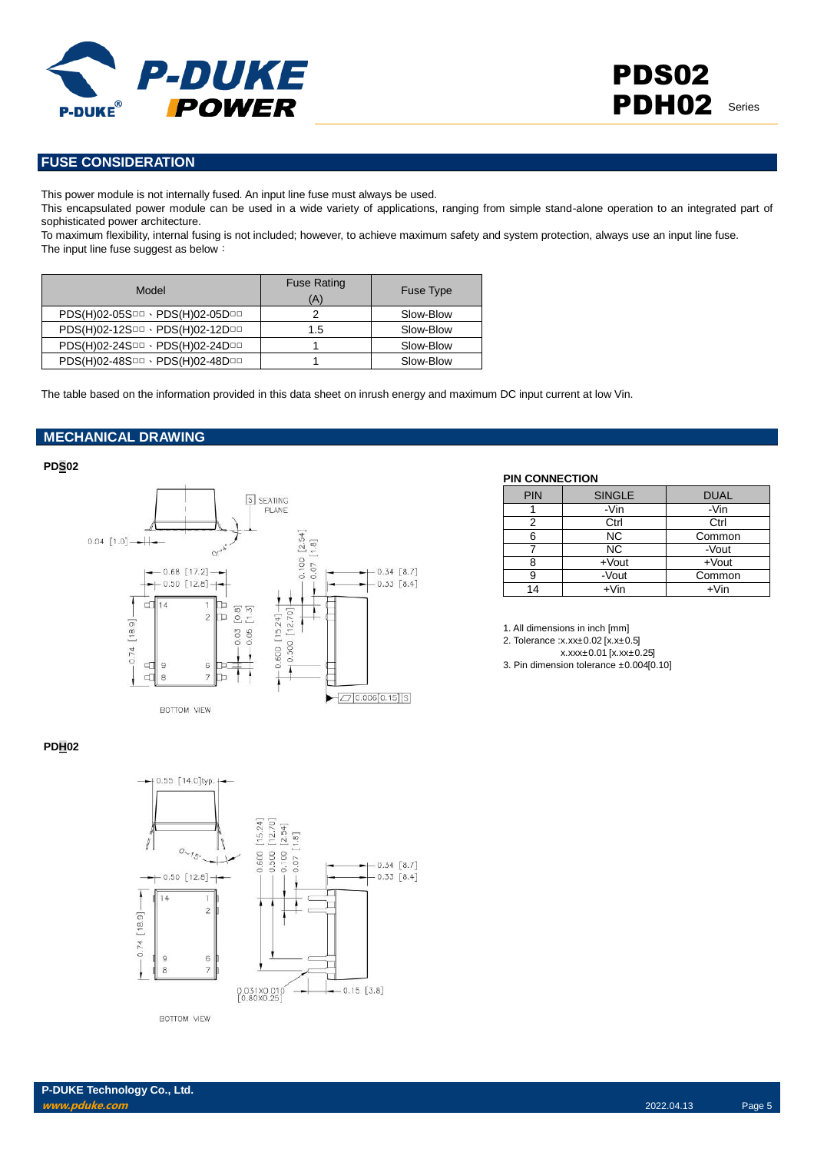

### **FUSE CONSIDERATION**

This power module is not internally fused. An input line fuse must always be used.

This encapsulated power module can be used in a wide variety of applications, ranging from simple stand-alone operation to an integrated part of sophisticated power architecture.

To maximum flexibility, internal fusing is not included; however, to achieve maximum safety and system protection, always use an input line fuse. The input line fuse suggest as below:

| Model                           | <b>Fuse Rating</b><br>(A) | Fuse Type |
|---------------------------------|---------------------------|-----------|
| PDS(H)02-05SDD · PDS(H)02-05DDD | າ                         | Slow-Blow |
| PDS(H)02-12SDD · PDS(H)02-12DDD | 1.5                       | Slow-Blow |
| PDS(H)02-24SDD · PDS(H)02-24DDD |                           | Slow-Blow |
| PDS(H)02-48SOD · PDS(H)02-48DOD |                           | Slow-Blow |

The table based on the information provided in this data sheet on inrush energy and maximum DC input current at low Vin.

#### **MECHANICAL DRAWING**

#### **PDS02**



#### **PIN CONNECTION**

| <b>PIN</b> | <b>SINGLE</b> | <b>DUAL</b> |
|------------|---------------|-------------|
|            | -Vin          | -Vin        |
| 2          | Ctrl          | Ctrl        |
| 6          | NC.           | Common      |
|            | NC.           | -Vout       |
|            | $+$ Vout      | $+$ Vout    |
| 9          | -Vout         | Common      |
| 14         | $+V$ in       | $+V$ in     |

1. All dimensions in inch [mm]

2. Tolerance :x.xx±0.02 [x.x±0.5]

x.xxx±0.01 [x.xx±0.25]

3. Pin dimension tolerance ±0.004[0.10]

#### **PDH02**



**BOTTOM VIEW**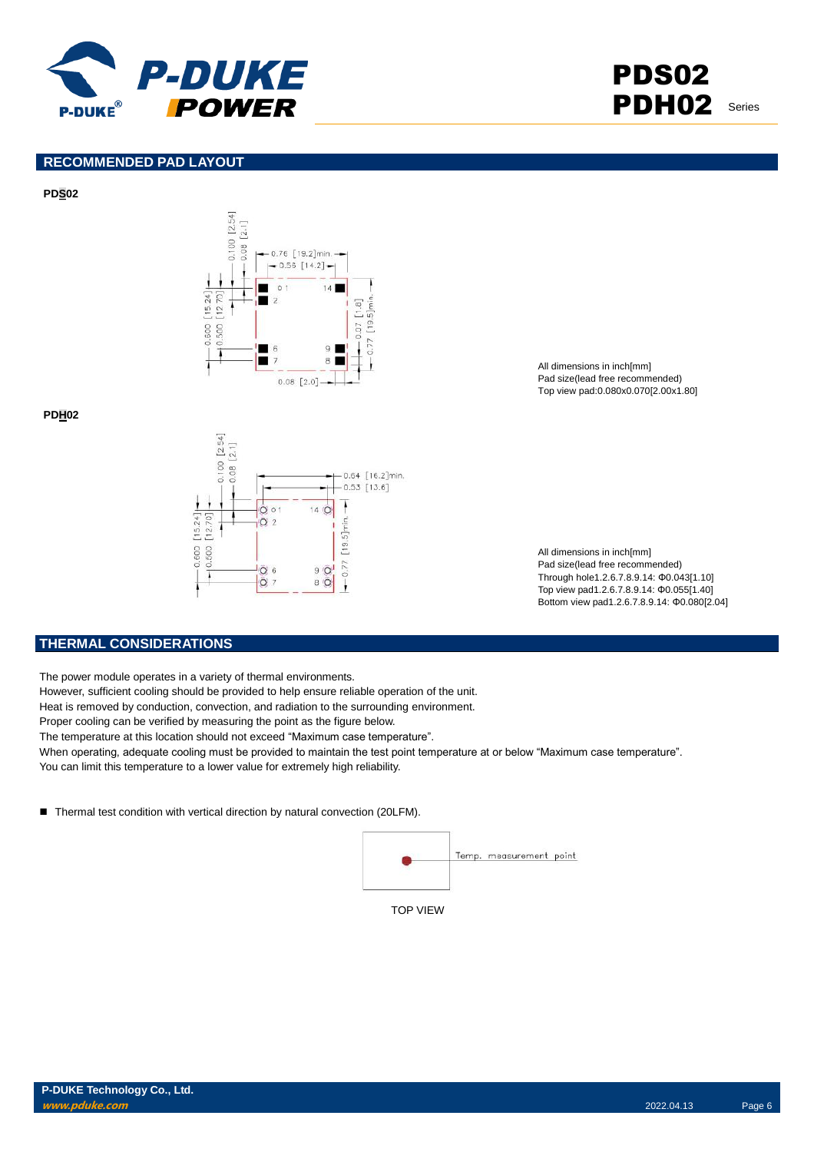

PDS02 PDH02 Series

## **RECOMMENDED PAD LAYOUT**

**PDS02**



**PDH02**



All dimensions in inch[mm] Pad size(lead free recommended) Top view pad:0.080x0.070[2.00x1.80]

All dimensions in inch[mm] Pad size(lead free recommended) Through hole1.2.6.7.8.9.14: Φ0.043[1.10] Top view pad1.2.6.7.8.9.14: Φ0.055[1.40] Bottom view pad1.2.6.7.8.9.14: Φ0.080[2.04]

#### **THERMAL CONSIDERATIONS**

The power module operates in a variety of thermal environments.

However, sufficient cooling should be provided to help ensure reliable operation of the unit.

Heat is removed by conduction, convection, and radiation to the surrounding environment.

Proper cooling can be verified by measuring the point as the figure below.

The temperature at this location should not exceed "Maximum case temperature".

When operating, adequate cooling must be provided to maintain the test point temperature at or below "Maximum case temperature". You can limit this temperature to a lower value for extremely high reliability.

■ Thermal test condition with vertical direction by natural convection (20LFM).